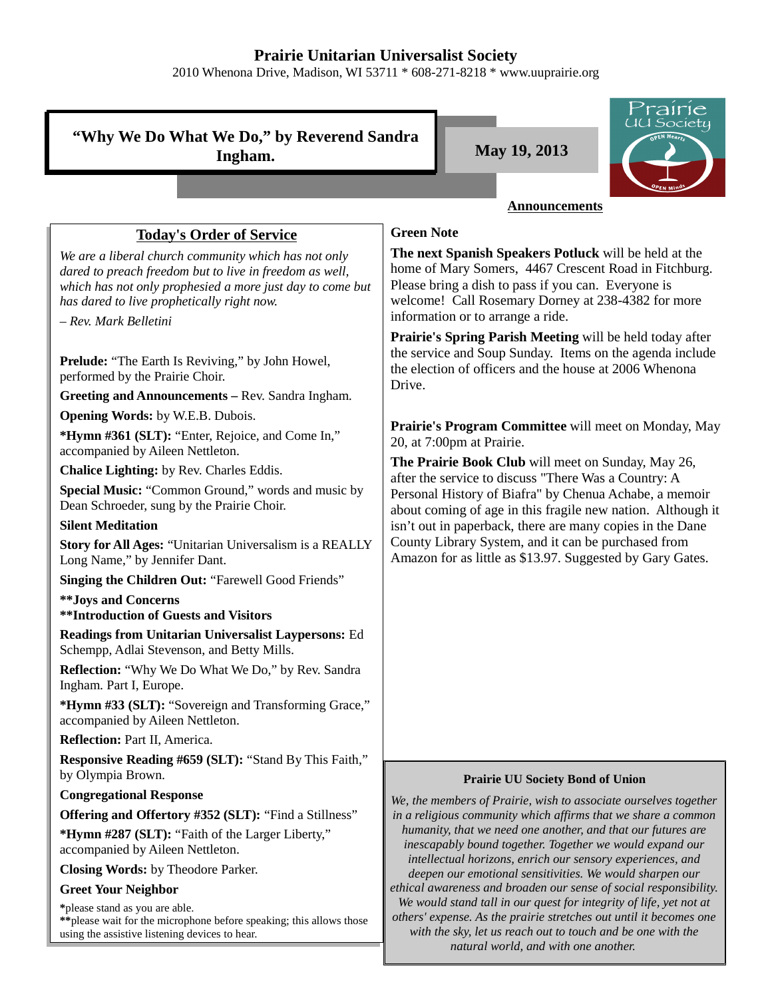## **Prairie Unitarian Universalist Society**

2010 Whenona Drive, Madison, WI 53711 \* 608-271-8218 \* www.uuprairie.org

|                                                                                                                                                                                                                                                     | rairie                                                                                                                                                                                                                                                           |
|-----------------------------------------------------------------------------------------------------------------------------------------------------------------------------------------------------------------------------------------------------|------------------------------------------------------------------------------------------------------------------------------------------------------------------------------------------------------------------------------------------------------------------|
| "Why We Do What We Do," by Reverend Sandra<br>Ingham.                                                                                                                                                                                               | <u>UU Society</u><br>May 19, 2013                                                                                                                                                                                                                                |
|                                                                                                                                                                                                                                                     |                                                                                                                                                                                                                                                                  |
|                                                                                                                                                                                                                                                     | <b>Announcements</b>                                                                                                                                                                                                                                             |
| <b>Today's Order of Service</b>                                                                                                                                                                                                                     | <b>Green Note</b>                                                                                                                                                                                                                                                |
| We are a liberal church community which has not only<br>dared to preach freedom but to live in freedom as well,<br>which has not only prophesied a more just day to come but<br>has dared to live prophetically right now.<br>- Rev. Mark Belletini | The next Spanish Speakers Potluck will be held at the<br>home of Mary Somers, 4467 Crescent Road in Fitchburg.<br>Please bring a dish to pass if you can. Everyone is<br>welcome! Call Rosemary Dorney at 238-4382 for more<br>information or to arrange a ride. |
|                                                                                                                                                                                                                                                     | Prairie's Spring Parish Meeting will be held today after                                                                                                                                                                                                         |
| <b>Prelude:</b> "The Earth Is Reviving," by John Howel,<br>performed by the Prairie Choir.                                                                                                                                                          | the service and Soup Sunday. Items on the agenda include<br>the election of officers and the house at 2006 Whenona                                                                                                                                               |
| Greeting and Announcements - Rev. Sandra Ingham.                                                                                                                                                                                                    | Drive.                                                                                                                                                                                                                                                           |
| <b>Opening Words:</b> by W.E.B. Dubois.                                                                                                                                                                                                             |                                                                                                                                                                                                                                                                  |
| *Hymn #361 (SLT): "Enter, Rejoice, and Come In,"<br>accompanied by Aileen Nettleton.                                                                                                                                                                | Prairie's Program Committee will meet on Monday, May<br>20, at 7:00pm at Prairie.                                                                                                                                                                                |
| Chalice Lighting: by Rev. Charles Eddis.                                                                                                                                                                                                            | The Prairie Book Club will meet on Sunday, May 26,<br>after the service to discuss "There Was a Country: A                                                                                                                                                       |
| Special Music: "Common Ground," words and music by<br>Dean Schroeder, sung by the Prairie Choir.                                                                                                                                                    | Personal History of Biafra" by Chenua Achabe, a memoir<br>about coming of age in this fragile new nation. Although it                                                                                                                                            |
| <b>Silent Meditation</b>                                                                                                                                                                                                                            | isn't out in paperback, there are many copies in the Dane                                                                                                                                                                                                        |
| Story for All Ages: "Unitarian Universalism is a REALLY<br>Long Name," by Jennifer Dant.                                                                                                                                                            | County Library System, and it can be purchased from<br>Amazon for as little as \$13.97. Suggested by Gary Gates.                                                                                                                                                 |
| Singing the Children Out: "Farewell Good Friends"                                                                                                                                                                                                   |                                                                                                                                                                                                                                                                  |
| ** Joys and Concerns<br><b>**Introduction of Guests and Visitors</b>                                                                                                                                                                                |                                                                                                                                                                                                                                                                  |
| Readings from Unitarian Universalist Laypersons: Ed<br>Schempp, Adlai Stevenson, and Betty Mills.                                                                                                                                                   |                                                                                                                                                                                                                                                                  |
| Reflection: "Why We Do What We Do," by Rev. Sandra<br>Ingham. Part I, Europe.                                                                                                                                                                       |                                                                                                                                                                                                                                                                  |
| *Hymn #33 (SLT): "Sovereign and Transforming Grace,"<br>accompanied by Aileen Nettleton.                                                                                                                                                            |                                                                                                                                                                                                                                                                  |
| Reflection: Part II, America.                                                                                                                                                                                                                       |                                                                                                                                                                                                                                                                  |
| Responsive Reading #659 (SLT): "Stand By This Faith,"<br>by Olympia Brown.                                                                                                                                                                          | <b>Prairie UU Society Bond of Union</b>                                                                                                                                                                                                                          |
| <b>Congregational Response</b>                                                                                                                                                                                                                      | We, the members of Prairie, wish to associate ourselves together                                                                                                                                                                                                 |
| <b>Offering and Offertory #352 (SLT): "Find a Stillness"</b>                                                                                                                                                                                        | in a religious community which affirms that we share a common                                                                                                                                                                                                    |
| *Hymn #287 (SLT): "Faith of the Larger Liberty,"<br>accompanied by Aileen Nettleton.                                                                                                                                                                | humanity, that we need one another, and that our futures are<br>inescapably bound together. Together we would expand our                                                                                                                                         |
| Closing Words: by Theodore Parker.                                                                                                                                                                                                                  | intellectual horizons, enrich our sensory experiences, and<br>deepen our emotional sensitivities. We would sharpen our                                                                                                                                           |
| <b>Greet Your Neighbor</b>                                                                                                                                                                                                                          | ethical awareness and broaden our sense of social responsibility.                                                                                                                                                                                                |
| *please stand as you are able.<br>** please wait for the microphone before speaking; this allows those<br>using the assistive listening devices to hear.                                                                                            | We would stand tall in our quest for integrity of life, yet not at<br>others' expense. As the prairie stretches out until it becomes one<br>with the sky, let us reach out to touch and be one with the                                                          |

*natural world, and with one another.*